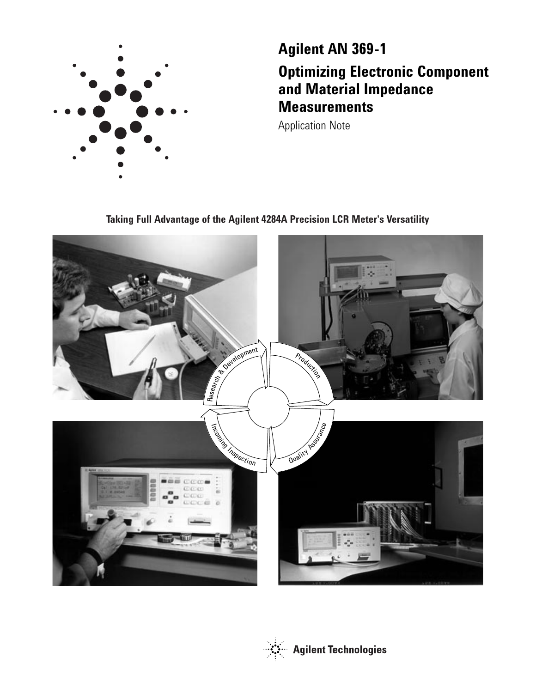

# **Agilent AN 369-1 Optimizing Electronic Component and Material Impedance Measurements**

Application Note

**Taking Full Advantage of the Agilent 4284A Precision LCR Meter's Versatility**



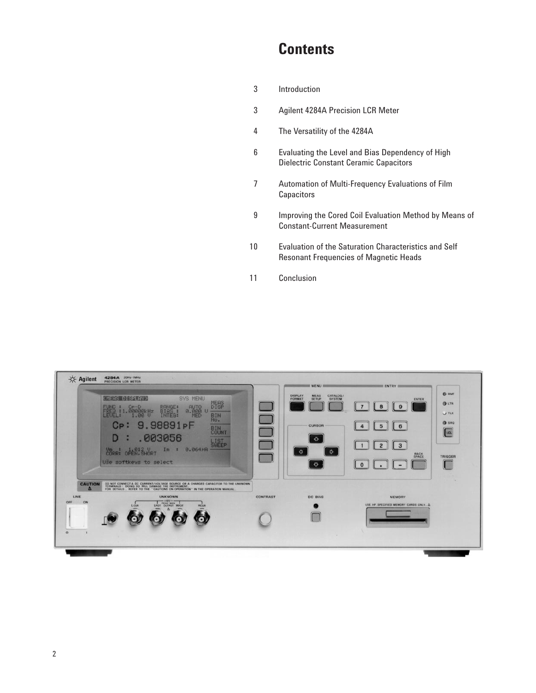## **Contents**

- Introduction
- Agilent 4284A Precision LCR Meter
- The Versatility of the 4284A
- Evaluating the Level and Bias Dependency of High Dielectric Constant Ceramic Capacitors
- Automation of Multi-Frequency Evaluations of Film **Capacitors**
- Improving the Cored Coil Evaluation Method by Means of Constant-Current Measurement
- Evaluation of the Saturation Characteristics and Self Resonant Frequencies of Magnetic Heads
- Conclusion

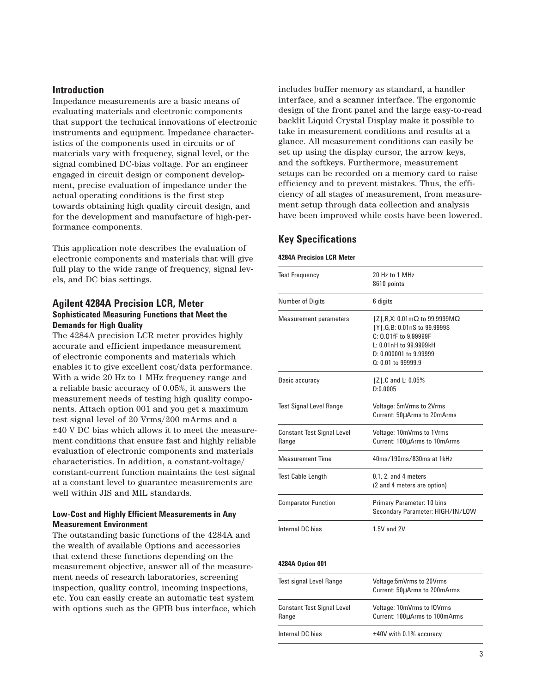## **Introduction**

Impedance measurements are a basic means of evaluating materials and electronic components that support the technical innovations of electronic instruments and equipment. Impedance characteristics of the components used in circuits or of materials vary with frequency, signal level, or the signal combined DC-bias voltage. For an engineer engaged in circuit design or component development, precise evaluation of impedance under the actual operating conditions is the first step towards obtaining high quality circuit design, and for the development and manufacture of high-performance components.

This application note describes the evaluation of electronic components and materials that will give full play to the wide range of frequency, signal levels, and DC bias settings.

## **Agilent 4284A Precision LCR, Meter Sophisticated Measuring Functions that Meet the Demands for High Quality**

The 4284A precision LCR meter provides highly accurate and efficient impedance measurement of electronic components and materials which enables it to give excellent cost/data performance. With a wide 20 Hz to 1 MHz frequency range and a reliable basic accuracy of 0.05%, it answers the measurement needs of testing high quality components. Attach option 001 and you get a maximum test signal level of 20 Vrms/200 mArms and a ±40 V DC bias which allows it to meet the measurement conditions that ensure fast and highly reliable evaluation of electronic components and materials characteristics. In addition, a constant-voltage/ constant-current function maintains the test signal at a constant level to guarantee measurements are well within JIS and MIL standards.

### **Low-Cost and Highly Efficient Measurements in Any Measurement Environment**

The outstanding basic functions of the 4284A and the wealth of available Options and accessories that extend these functions depending on the measurement objective, answer all of the measurement needs of research laboratories, screening inspection, quality control, incoming inspections, etc. You can easily create an automatic test system with options such as the GPIB bus interface, which includes buffer memory as standard, a handler interface, and a scanner interface. The ergonomic design of the front panel and the large easy-to-read backlit Liquid Crystal Display make it possible to take in measurement conditions and results at a glance. All measurement conditions can easily be set up using the display cursor, the arrow keys, and the softkeys. Furthermore, measurement setups can be recorded on a memory card to raise efficiency and to prevent mistakes. Thus, the efficiency of all stages of measurement, from measurement setup through data collection and analysis have been improved while costs have been lowered.

## **Key Specifications**

#### **4284A Precision LCR Meter**

| <b>Test Frequency</b>                      | 20 Hz to 1 MHz<br>8610 points                                                                                                                                                                |
|--------------------------------------------|----------------------------------------------------------------------------------------------------------------------------------------------------------------------------------------------|
| <b>Number of Digits</b>                    | 6 digits                                                                                                                                                                                     |
| <b>Measurement parameters</b>              | $ Z $ , R, X: 0.01m $\Omega$ to 99.9999M $\Omega$<br> Y ,G,B: 0.01nS to 99.9999S<br>$C: 0.01$ fF to 9.99999F<br>$1:0.01$ nH to 99.9999kH<br>$D: 0.000001$ to 9.99999<br>$Q: 0.01$ to 99999.9 |
| Basic accuracy                             | Z ,C and L: 0.05%<br>D:0.0005                                                                                                                                                                |
| <b>Test Signal Level Range</b>             | <b>Voltage: 5mVrms to 2Vrms</b><br>Current: 50µArms to 20mArms                                                                                                                               |
| <b>Constant Test Signal Level</b><br>Range | Voltage: 10mVrms to 1Vrms<br>Current: 100µArms to 10mArms                                                                                                                                    |
| <b>Measurement Time</b>                    | 40ms/190ms/830ms at 1kHz                                                                                                                                                                     |
| <b>Test Cable Length</b>                   | $0.1$ , 2, and 4 meters<br>(2 and 4 meters are option)                                                                                                                                       |
| <b>Comparator Function</b>                 | Primary Parameter: 10 bins<br>Secondary Parameter: HIGH/IN/LOW                                                                                                                               |
| Internal DC bias                           | 1.5V and 2V                                                                                                                                                                                  |

#### **4284A Option 001**

| <b>Test signal Level Range</b>             | Voltage:5mVrms to 20Vrms<br>Current: 50µArms to 200mArms    |
|--------------------------------------------|-------------------------------------------------------------|
| <b>Constant Test Signal Level</b><br>Range | Voltage: 10mVrms to IOVrms<br>Current: 100µArms to 100mArms |
| Internal DC bias                           | $±40V$ with 0.1% accuracy                                   |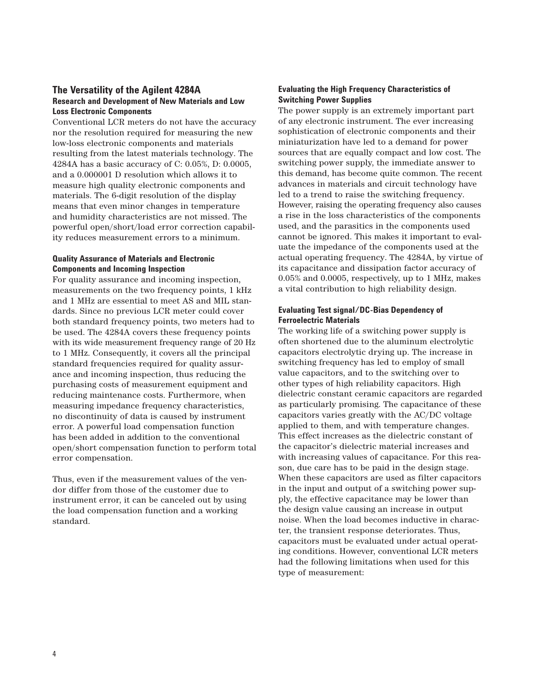## **The Versatility of the Agilent 4284A Research and Development of New Materials and Low Loss Electronic Components**

Conventional LCR meters do not have the accuracy nor the resolution required for measuring the new low-loss electronic components and materials resulting from the latest materials technology. The 4284A has a basic accuracy of C: 0.05%, D: 0.0005, and a 0.000001 D resolution which allows it to measure high quality electronic components and materials. The 6-digit resolution of the display means that even minor changes in temperature and humidity characteristics are not missed. The powerful open/short/load error correction capability reduces measurement errors to a minimum.

## **Quality Assurance of Materials and Electronic Components and Incoming Inspection**

For quality assurance and incoming inspection, measurements on the two frequency points, 1 kHz and 1 MHz are essential to meet AS and MIL standards. Since no previous LCR meter could cover both standard frequency points, two meters had to be used. The 4284A covers these frequency points with its wide measurement frequency range of 20 Hz to 1 MHz. Consequently, it covers all the principal standard frequencies required for quality assurance and incoming inspection, thus reducing the purchasing costs of measurement equipment and reducing maintenance costs. Furthermore, when measuring impedance frequency characteristics, no discontinuity of data is caused by instrument error. A powerful load compensation function has been added in addition to the conventional open/short compensation function to perform total error compensation.

Thus, even if the measurement values of the vendor differ from those of the customer due to instrument error, it can be canceled out by using the load compensation function and a working standard.

## **Evaluating the High Frequency Characteristics of Switching Power Supplies**

The power supply is an extremely important part of any electronic instrument. The ever increasing sophistication of electronic components and their miniaturization have led to a demand for power sources that are equally compact and low cost. The switching power supply, the immediate answer to this demand, has become quite common. The recent advances in materials and circuit technology have led to a trend to raise the switching frequency. However, raising the operating frequency also causes a rise in the loss characteristics of the components used, and the parasitics in the components used cannot be ignored. This makes it important to evaluate the impedance of the components used at the actual operating frequency. The 4284A, by virtue of its capacitance and dissipation factor accuracy of 0.05% and 0.0005, respectively, up to 1 MHz, makes a vital contribution to high reliability design.

## **Evaluating Test signal/DC-Bias Dependency of Ferroelectric Materials**

The working life of a switching power supply is often shortened due to the aluminum electrolytic capacitors electrolytic drying up. The increase in switching frequency has led to employ of small value capacitors, and to the switching over to other types of high reliability capacitors. High dielectric constant ceramic capacitors are regarded as particularly promising. The capacitance of these capacitors varies greatly with the AC/DC voltage applied to them, and with temperature changes. This effect increases as the dielectric constant of the capacitor's dielectric material increases and with increasing values of capacitance. For this reason, due care has to be paid in the design stage. When these capacitors are used as filter capacitors in the input and output of a switching power supply, the effective capacitance may be lower than the design value causing an increase in output noise. When the load becomes inductive in character, the transient response deteriorates. Thus, capacitors must be evaluated under actual operating conditions. However, conventional LCR meters had the following limitations when used for this type of measurement: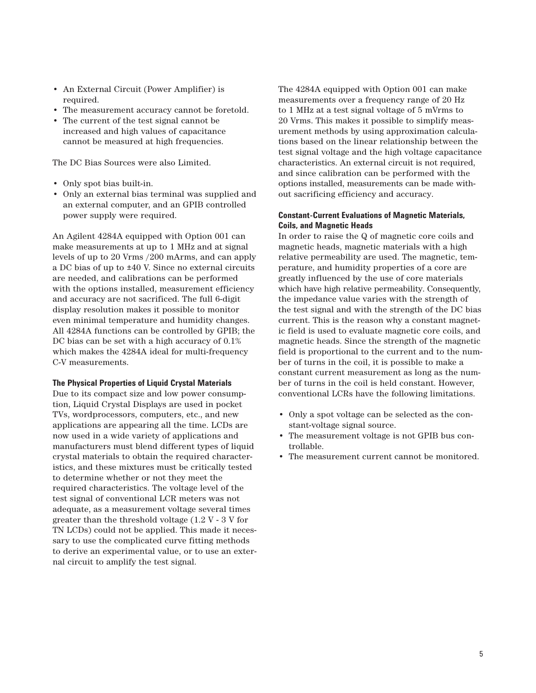- An External Circuit (Power Amplifier) is required.
- The measurement accuracy cannot be foretold.
- The current of the test signal cannot be increased and high values of capacitance cannot be measured at high frequencies.

The DC Bias Sources were also Limited.

- Only spot bias built-in.
- Only an external bias terminal was supplied and an external computer, and an GPIB controlled power supply were required.

An Agilent 4284A equipped with Option 001 can make measurements at up to 1 MHz and at signal levels of up to 20 Vrms /200 mArms, and can apply a DC bias of up to ±40 V. Since no external circuits are needed, and calibrations can be performed with the options installed, measurement efficiency and accuracy are not sacrificed. The full 6-digit display resolution makes it possible to monitor even minimal temperature and humidity changes. All 4284A functions can be controlled by GPIB; the DC bias can be set with a high accuracy of 0.1% which makes the 4284A ideal for multi-frequency C-V measurements.

#### **The Physical Properties of Liquid Crystal Materials**

Due to its compact size and low power consumption, Liquid Crystal Displays are used in pocket TVs, wordprocessors, computers, etc., and new applications are appearing all the time. LCDs are now used in a wide variety of applications and manufacturers must blend different types of liquid crystal materials to obtain the required characteristics, and these mixtures must be critically tested to determine whether or not they meet the required characteristics. The voltage level of the test signal of conventional LCR meters was not adequate, as a measurement voltage several times greater than the threshold voltage (1.2 V - 3 V for TN LCDs) could not be applied. This made it necessary to use the complicated curve fitting methods to derive an experimental value, or to use an external circuit to amplify the test signal.

The 4284A equipped with Option 001 can make measurements over a frequency range of 20 Hz to 1 MHz at a test signal voltage of 5 mVrms to 20 Vrms. This makes it possible to simplify measurement methods by using approximation calculations based on the linear relationship between the test signal voltage and the high voltage capacitance characteristics. An external circuit is not required, and since calibration can be performed with the options installed, measurements can be made without sacrificing efficiency and accuracy.

## **Constant-Current Evaluations of Magnetic Materials, Coils, and Magnetic Heads**

In order to raise the Q of magnetic core coils and magnetic heads, magnetic materials with a high relative permeability are used. The magnetic, temperature, and humidity properties of a core are greatly influenced by the use of core materials which have high relative permeability. Consequently, the impedance value varies with the strength of the test signal and with the strength of the DC bias current. This is the reason why a constant magnetic field is used to evaluate magnetic core coils, and magnetic heads. Since the strength of the magnetic field is proportional to the current and to the number of turns in the coil, it is possible to make a constant current measurement as long as the number of turns in the coil is held constant. However, conventional LCRs have the following limitations.

- Only a spot voltage can be selected as the constant-voltage signal source.
- The measurement voltage is not GPIB bus controllable.
- The measurement current cannot be monitored.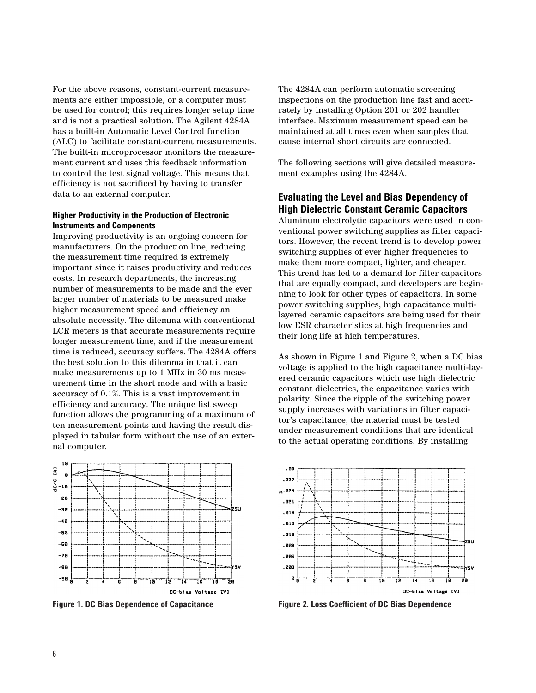For the above reasons, constant-current measurements are either impossible, or a computer must be used for control; this requires longer setup time and is not a practical solution. The Agilent 4284A has a built-in Automatic Level Control function (ALC) to facilitate constant-current measurements. The built-in microprocessor monitors the measurement current and uses this feedback information to control the test signal voltage. This means that efficiency is not sacrificed by having to transfer data to an external computer.

#### **Higher Productivity in the Production of Electronic Instruments and Components**

Improving productivity is an ongoing concern for manufacturers. On the production line, reducing the measurement time required is extremely important since it raises productivity and reduces costs. In research departments, the increasing number of measurements to be made and the ever larger number of materials to be measured make higher measurement speed and efficiency an absolute necessity. The dilemma with conventional LCR meters is that accurate measurements require longer measurement time, and if the measurement time is reduced, accuracy suffers. The 4284A offers the best solution to this dilemma in that it can make measurements up to 1 MHz in 30 ms measurement time in the short mode and with a basic accuracy of 0.1%. This is a vast improvement in efficiency and accuracy. The unique list sweep function allows the programming of a maximum of ten measurement points and having the result displayed in tabular form without the use of an external computer.



The 4284A can perform automatic screening inspections on the production line fast and accurately by installing Option 201 or 202 handler interface. Maximum measurement speed can be maintained at all times even when samples that cause internal short circuits are connected.

The following sections will give detailed measurement examples using the 4284A.

## **Evaluating the Level and Bias Dependency of High Dielectric Constant Ceramic Capacitors**

Aluminum electrolytic capacitors were used in conventional power switching supplies as filter capacitors. However, the recent trend is to develop power switching supplies of ever higher frequencies to make them more compact, lighter, and cheaper. This trend has led to a demand for filter capacitors that are equally compact, and developers are beginning to look for other types of capacitors. In some power switching supplies, high capacitance multilayered ceramic capacitors are being used for their low ESR characteristics at high frequencies and their long life at high temperatures.

As shown in Figure 1 and Figure 2, when a DC bias voltage is applied to the high capacitance multi-layered ceramic capacitors which use high dielectric constant dielectrics, the capacitance varies with polarity. Since the ripple of the switching power supply increases with variations in filter capacitor's capacitance, the material must be tested under measurement conditions that are identical to the actual operating conditions. By installing



**Figure 1. DC Bias Dependence of Capacitance Figure 2. Loss Coefficient of DC Bias Dependence**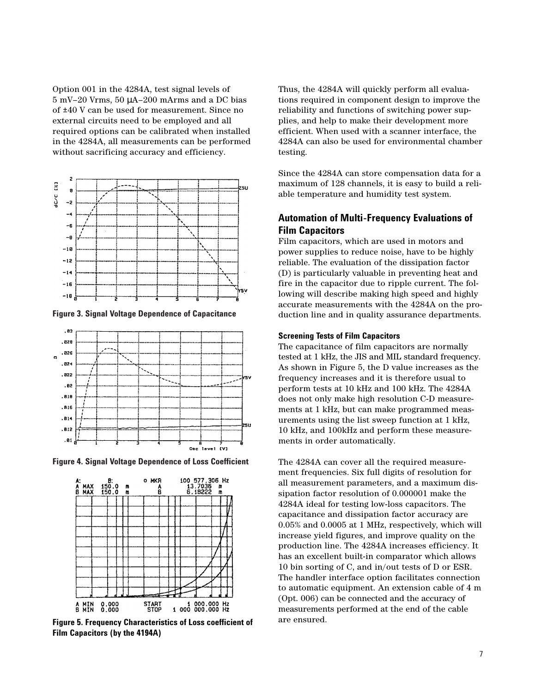Option 001 in the 4284A, test signal levels of 5 mV–20 Vrms, 50 µA–200 mArms and a DC bias of ±40 V can be used for measurement. Since no external circuits need to be employed and all required options can be calibrated when installed in the 4284A, all measurements can be performed without sacrificing accuracy and efficiency.



**Figure 3. Signal Voltage Dependence of Capacitance**



**Figure 4. Signal Voltage Dependence of Loss Coefficient**



**Figure 5. Frequency Characteristics of Loss coefficient of Film Capacitors (by the 4194A)**

Thus, the 4284A will quickly perform all evaluations required in component design to improve the reliability and functions of switching power supplies, and help to make their development more efficient. When used with a scanner interface, the 4284A can also be used for environmental chamber testing.

Since the 4284A can store compensation data for a maximum of 128 channels, it is easy to build a reliable temperature and humidity test system.

## **Automation of Multi-Frequency Evaluations of Film Capacitors**

Film capacitors, which are used in motors and power supplies to reduce noise, have to be highly reliable. The evaluation of the dissipation factor (D) is particularly valuable in preventing heat and fire in the capacitor due to ripple current. The following will describe making high speed and highly accurate measurements with the 4284A on the production line and in quality assurance departments.

#### **Screening Tests of Film Capacitors**

The capacitance of film capacitors are normally tested at 1 kHz, the JIS and MIL standard frequency. As shown in Figure 5, the D value increases as the frequency increases and it is therefore usual to perform tests at 10 kHz and 100 kHz. The 4284A does not only make high resolution C-D measurements at 1 kHz, but can make programmed measurements using the list sweep function at 1 kHz, 10 kHz, and 100kHz and perform these measurements in order automatically.

The 4284A can cover all the required measurement frequencies. Six full digits of resolution for all measurement parameters, and a maximum dissipation factor resolution of 0.000001 make the 4284A ideal for testing low-loss capacitors. The capacitance and dissipation factor accuracy are 0.05% and 0.0005 at 1 MHz, respectively, which will increase yield figures, and improve quality on the production line. The 4284A increases efficiency. It has an excellent built-in comparator which allows 10 bin sorting of C, and in/out tests of D or ESR. The handler interface option facilitates connection to automatic equipment. An extension cable of 4 m (Opt. 006) can be connected and the accuracy of measurements performed at the end of the cable are ensured.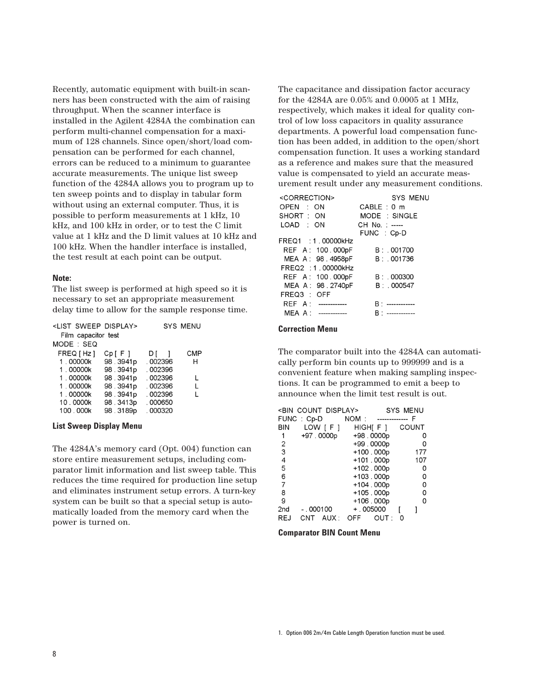Recently, automatic equipment with built-in scanners has been constructed with the aim of raising throughput. When the scanner interface is installed in the Agilent 4284A the combination can perform multi-channel compensation for a maximum of 128 channels. Since open/short/load compensation can be performed for each channel, errors can be reduced to a minimum to guarantee accurate measurements. The unique list sweep function of the 4284A allows you to program up to ten sweep points and to display in tabular form without using an external computer. Thus, it is possible to perform measurements at 1 kHz, 10 kHz, and 100 kHz in order, or to test the C limit value at 1 kHz and the D limit values at 10 kHz and 100 kHz. When the handler interface is installed, the test result at each point can be output.

#### **Note:**

The list sweep is performed at high speed so it is necessary to set an appropriate measurement delay time to allow for the sample response time.

| <list display="" sweep=""></list> |            |         | <b>SYS MENU</b> |
|-----------------------------------|------------|---------|-----------------|
| Film capacitor test               |            |         |                 |
| MODE : SEQ                        |            |         |                 |
| FREQ [ Hz ]                       | $Cp$ $F$ ] | DI 1    | <b>CMP</b>      |
| 1.00000k                          | 98.3941p   | .002396 | н               |
| 1.00000k                          | 98.3941p   | .002396 |                 |
| 1.00000k                          | 98.3941p   | .002396 |                 |
| 1.00000k                          | 98.3941p   | .002396 | L               |
| 1.00000k                          | 98.3941p   | .002396 |                 |
| 10.0000k                          | 98.3413p   | .000650 |                 |
| 100.000k                          | 98.3189p   | .000320 |                 |

#### **List Sweep Display Menu**

The 4284A's memory card (Opt. 004) function can store entire measurement setups, including comparator limit information and list sweep table. This reduces the time required for production line setup and eliminates instrument setup errors. A turn-key system can be built so that a special setup is automatically loaded from the memory card when the power is turned on.

The capacitance and dissipation factor accuracy for the 4284A are 0.05% and 0.0005 at 1 MHz, respectively, which makes it ideal for quality control of low loss capacitors in quality assurance departments. A powerful load compensation function has been added, in addition to the open/short compensation function. It uses a working standard as a reference and makes sure that the measured value is compensated to yield an accurate measurement result under any measurement conditions.

| <correction></correction> | SYS MENU           |
|---------------------------|--------------------|
| OPEN : ON                 | CABLE: 0 m         |
| SHORT: ON                 | MODE : SINGLE      |
| LOAD : ON                 | CH No.: -----      |
|                           | FUNC : Cp-D        |
| FREQ1 : 1.00000kHz        |                    |
| REF A: 100.000pF          | B: 001700          |
| MEA A: 98.4958pF          | B: 001736          |
| FREQ2: 1.00000kHz         |                    |
| REF A: 100.000pF          | B: 000300          |
| MEA A: 98.2740pF          | B: 000547          |
| FREQ3 : OFF               |                    |
| REF A: ------------       | B۰<br>------------ |
| ------------<br>MEA A:    | B: -------------   |

#### **Correction Menu**

The comparator built into the 4284A can automatically perform bin counts up to 999999 and is a convenient feature when making sampling inspections. It can be programmed to emit a beep to announce when the limit test result is out.

|            |            | <bin count="" display=""></bin> |                    |       | <b>SYS MENU</b> |       |
|------------|------------|---------------------------------|--------------------|-------|-----------------|-------|
| FUNC: Cp-D |            |                                 | NOM : ------------ |       |                 | F     |
| BIN        |            | LOW [F]                         | HIGH[F]            |       |                 | COUNT |
| 1          |            | +97.0000p                       | +98.0000p          |       |                 | 0     |
| 2          |            |                                 | +99.0000p          |       |                 | 0     |
| 3          |            |                                 | +100.000p          |       |                 | 177   |
| 4          |            |                                 | +101.000p          |       |                 | 107   |
| 5          |            |                                 | +102.000p          |       |                 | 0     |
| 6          |            |                                 | +103.000p          |       |                 | 0     |
| 7          |            |                                 | +104.000p          |       |                 | 0     |
| 8          |            |                                 | +105.000p          |       |                 | 0     |
| 9          |            |                                 | +106.000p          |       |                 | 0     |
| 2nd        | - . 000100 |                                 | $+.005000$         |       |                 |       |
| REJ        | CNT        | AUX :                           | <b>OFF</b>         | OUT : | ი               |       |

#### **Comparator BIN Count Menu**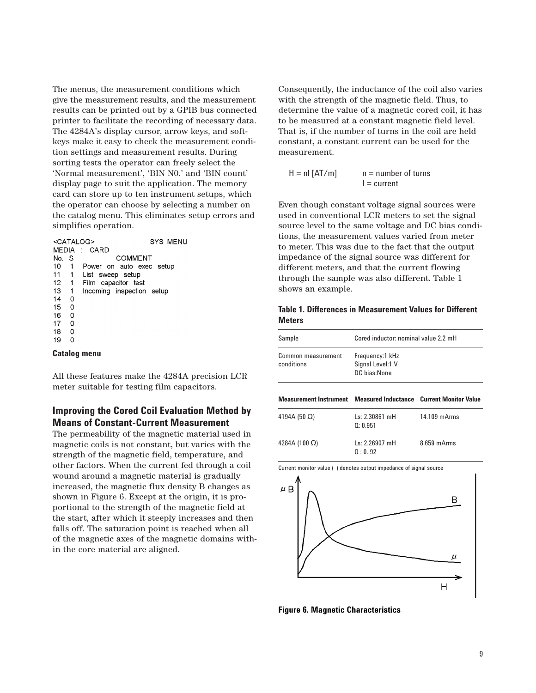The menus, the measurement conditions which give the measurement results, and the measurement results can be printed out by a GPIB bus connected printer to facilitate the recording of necessary data. The 4284A's display cursor, arrow keys, and softkeys make it easy to check the measurement condition settings and measurement results. During sorting tests the operator can freely select the 'Normal measurement', 'BIN N0.' and 'BIN count' display page to suit the application. The memory card can store up to ten instrument setups, which the operator can choose by selecting a number on the catalog menu. This eliminates setup errors and simplifies operation.

|       |   | <b>SYS MENU</b><br><catalog></catalog> |
|-------|---|----------------------------------------|
| MEDIA |   | CARD<br>$\mathcal{L}$                  |
| No.   | S | COMMENT                                |
| 10    | 1 | Power on auto exec setup               |
| 11    | 1 | List sweep setup                       |
| 12    | 1 | Film capacitor test                    |
| 13    | 1 | Incoming inspection setup              |
| 14    | 0 |                                        |
| 15    | 0 |                                        |
| 16    | 0 |                                        |
| 17    | 0 |                                        |
| 18    | 0 |                                        |
| 19    | 0 |                                        |

#### **Catalog menu**

All these features make the 4284A precision LCR meter suitable for testing film capacitors.

## **Improving the Cored Coil Evaluation Method by Means of Constant-Current Measurement**

The permeability of the magnetic material used in magnetic coils is not constant, but varies with the strength of the magnetic field, temperature, and other factors. When the current fed through a coil wound around a magnetic material is gradually increased, the magnetic flux density B changes as shown in Figure 6. Except at the origin, it is proportional to the strength of the magnetic field at the start, after which it steeply increases and then falls off. The saturation point is reached when all of the magnetic axes of the magnetic domains within the core material are aligned.

Consequently, the inductance of the coil also varies with the strength of the magnetic field. Thus, to determine the value of a magnetic cored coil, it has to be measured at a constant magnetic field level. That is, if the number of turns in the coil are held constant, a constant current can be used for the measurement.

 $H = nI [AT/m]$   $n = number of turns$  $I = current$ 

Even though constant voltage signal sources were used in conventional LCR meters to set the signal source level to the same voltage and DC bias conditions, the measurement values varied from meter to meter. This was due to the fact that the output impedance of the signal source was different for different meters, and that the current flowing through the sample was also different. Table 1 shows an example.

#### **Table 1. Differences in Measurement Values for Different Meters**

| Sample                                                           | Cored inductor: nominal value 2.2 mH                |              |  |
|------------------------------------------------------------------|-----------------------------------------------------|--------------|--|
| Common measurement<br>conditions                                 | Frequency:1 kHz<br>Signal Level:1 V<br>DC bias None |              |  |
| Measurement Instrument Measured Inductance Current Monitor Value |                                                     |              |  |
| 4194A (50 $\Omega$ )                                             | ls: 2.30861 mH<br>0: 0.951                          | 14.109 mArms |  |
| 4284A (100 $\Omega$ )                                            | Ls: 2.26907 mH                                      | 8.659 mArms  |  |



**Figure 6. Magnetic Characteristics**

Current monitor value ( ) denotes output impedance of signal source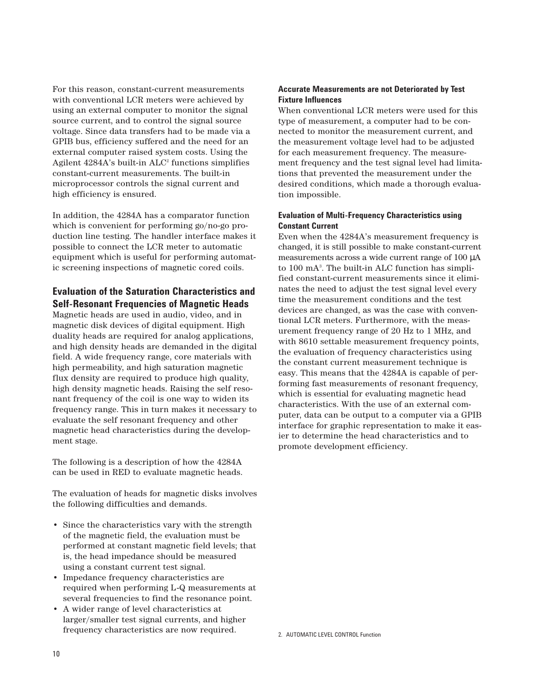For this reason, constant-current measurements with conventional LCR meters were achieved by using an external computer to monitor the signal source current, and to control the signal source voltage. Since data transfers had to be made via a GPIB bus, efficiency suffered and the need for an external computer raised system costs. Using the Agilent  $4284A$ 's built-in  $ALC<sup>2</sup>$  functions simplifies constant-current measurements. The built-in microprocessor controls the signal current and high efficiency is ensured.

In addition, the 4284A has a comparator function which is convenient for performing go/no-go production line testing. The handler interface makes it possible to connect the LCR meter to automatic equipment which is useful for performing automatic screening inspections of magnetic cored coils.

## **Evaluation of the Saturation Characteristics and Self-Resonant Frequencies of Magnetic Heads**

Magnetic heads are used in audio, video, and in magnetic disk devices of digital equipment. High duality heads are required for analog applications, and high density heads are demanded in the digital field. A wide frequency range, core materials with high permeability, and high saturation magnetic flux density are required to produce high quality, high density magnetic heads. Raising the self resonant frequency of the coil is one way to widen its frequency range. This in turn makes it necessary to evaluate the self resonant frequency and other magnetic head characteristics during the development stage.

The following is a description of how the 4284A can be used in RED to evaluate magnetic heads.

The evaluation of heads for magnetic disks involves the following difficulties and demands.

- Since the characteristics vary with the strength of the magnetic field, the evaluation must be performed at constant magnetic field levels; that is, the head impedance should be measured using a constant current test signal.
- Impedance frequency characteristics are required when performing L-Q measurements at several frequencies to find the resonance point.
- A wider range of level characteristics at larger/smaller test signal currents, and higher frequency characteristics are now required.

## **Accurate Measurements are not Deteriorated by Test Fixture Influences**

When conventional LCR meters were used for this type of measurement, a computer had to be connected to monitor the measurement current, and the measurement voltage level had to be adjusted for each measurement frequency. The measurement frequency and the test signal level had limitations that prevented the measurement under the desired conditions, which made a thorough evaluation impossible.

## **Evaluation of Multi-Frequency Characteristics using Constant Current**

Even when the 4284A's measurement frequency is changed, it is still possible to make constant-current measurements across a wide current range of 100 µA to 100 mA3 . The built-in ALC function has simplified constant-current measurements since it eliminates the need to adjust the test signal level every time the measurement conditions and the test devices are changed, as was the case with conventional LCR meters. Furthermore, with the measurement frequency range of 20 Hz to 1 MHz, and with 8610 settable measurement frequency points, the evaluation of frequency characteristics using the constant current measurement technique is easy. This means that the 4284A is capable of performing fast measurements of resonant frequency, which is essential for evaluating magnetic head characteristics. With the use of an external computer, data can be output to a computer via a GPIB interface for graphic representation to make it easier to determine the head characteristics and to promote development efficiency.

2. AUTOMATIC LEVEL CONTROL Function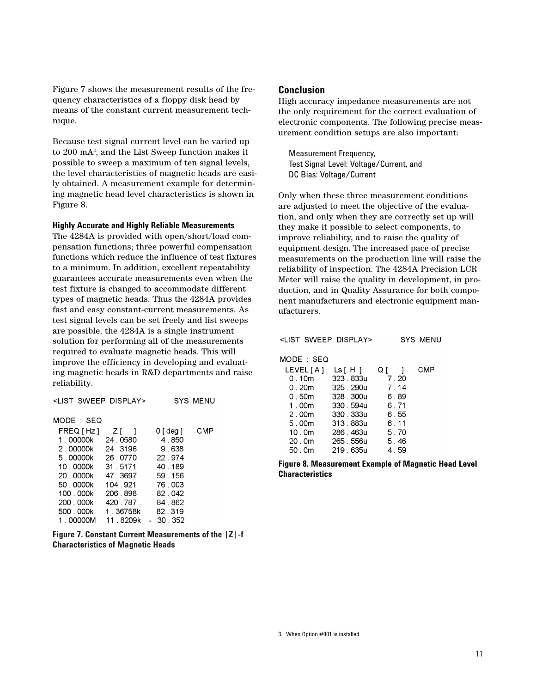Figure 7 shows the measurement results of the frequency characteristics of a floppy disk head by means of the constant current measurement technique.

Because test signal current level can be varied up to 200 mA3 , and the List Sweep function makes it possible to sweep a maximum of ten signal levels, the level characteristics of magnetic heads are easily obtained. A measurement example for determining magnetic head level characteristics is shown in Figure 8.

#### **Highly Accurate and Highly Reliable Measurements**

The 4284A is provided with open/short/load compensation functions; three powerful compensation functions which reduce the influence of test fixtures to a minimum. In addition, excellent repeatability guarantees accurate measurements even when the test fixture is changed to accommodate different types of magnetic heads. Thus the 4284A provides fast and easy constant-current measurements. As test signal levels can be set freely and list sweeps are possible, the 4284A is a single instrument solution for performing all of the measurements required to evaluate magnetic heads. This will improve the efficiency in developing and evaluating magnetic heads in R&D departments and raise reliability.

| <list display="" sweep=""></list> |          |           | SYS MENU |
|-----------------------------------|----------|-----------|----------|
| MODE : SEQ                        |          |           |          |
| FREQ [ Hz ]                       | Z I      | 0 [ deg ] | CMP      |
| 1.00000k                          | 24 0580  | 4.850     |          |
| 2.00000k                          | 24 3196  | 9.638     |          |
| 5.00000k                          | 26 0770  | 22 974    |          |
| 10.0000k                          | 31 5171  | 40.189    |          |
| 20 0000k                          | 47.3697  | 59 156    |          |
| 50 0000k                          | 104 921  | 76,003    |          |
| 100.000k                          | 206 898  | 82.042    |          |
| 200 . 000k                        | 420, 787 | 84.862    |          |
| 500, 000k                         | 1.36758k | 82.319    |          |
| 1 00000M                          | 11 8209k | - 30.352  |          |

**Figure 7. Constant Current Measurements of the |Z|-f Characteristics of Magnetic Heads**

#### **Conclusion**

High accuracy impedance measurements are not the only requirement for the correct evaluation of electronic components. The following precise measurement condition setups are also important:

Measurement Frequency, Test Signal Level: Voltage/Current, and DC Bias: Voltage/Current

Only when these three measurement conditions are adjusted to meet the objective of the evaluation, and only when they are correctly set up will they make it possible to select components, to improve reliability, and to raise the quality of equipment design. The increased pace of precise measurements on the production line will raise the reliability of inspection. The 4284A Precision LCR Meter will raise the quality in development, in production, and in Quality Assurance for both component manufacturers and electronic equipment manufacturers.

|  | <list display="" sweep=""></list> | SYS MENU |
|--|-----------------------------------|----------|
|  |                                   |          |

MODE : SEQ

| LEVEL [A ]        | Ls [ H ]       | Qſ   | CMP |
|-------------------|----------------|------|-----|
| 0 . 10m           | 323 . 833u     | 7.20 |     |
| 0 . 20m           | 325, 290u      | 7.14 |     |
| 0 . 50m           | 328, 300u      | 6.89 |     |
| 1 . 00m           | 330 . 594u     | 6.71 |     |
| 2.00m             | 330 . 333u     | 6.55 |     |
| 5.00m             | 313, 883u      | 6.11 |     |
| 10.0 <sub>m</sub> | 286, 463u      | 5.70 |     |
|                   | 20.0m 265.556u | 5.46 |     |
| 50 . 0m           | 219 . 635u     | 4.59 |     |

**Figure 8. Measurement Example of Magnetic Head Level Characteristics**